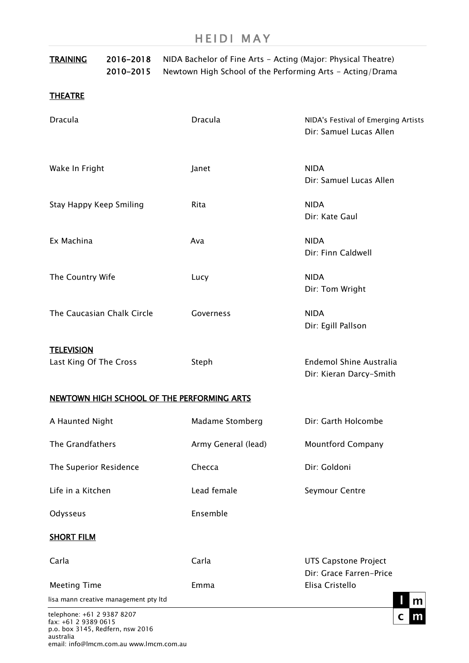| <b>TRAINING</b>                                    | 2016-2018<br>2010-2015                | NIDA Bachelor of Fine Arts - Acting (Major: Physical Theatre)<br>Newtown High School of the Performing Arts - Acting/Drama |                                                                |
|----------------------------------------------------|---------------------------------------|----------------------------------------------------------------------------------------------------------------------------|----------------------------------------------------------------|
| <b>THEATRE</b>                                     |                                       |                                                                                                                            |                                                                |
| <b>Dracula</b>                                     |                                       | <b>Dracula</b>                                                                                                             | NIDA's Festival of Emerging Artists<br>Dir: Samuel Lucas Allen |
| Wake In Fright                                     |                                       | Janet                                                                                                                      | <b>NIDA</b><br>Dir: Samuel Lucas Allen                         |
| Stay Happy Keep Smiling                            |                                       | Rita                                                                                                                       | <b>NIDA</b><br>Dir: Kate Gaul                                  |
| Ex Machina                                         |                                       | Ava                                                                                                                        | <b>NIDA</b><br>Dir: Finn Caldwell                              |
| The Country Wife                                   |                                       | Lucy                                                                                                                       | <b>NIDA</b><br>Dir: Tom Wright                                 |
| The Caucasian Chalk Circle                         |                                       | Governess                                                                                                                  | <b>NIDA</b><br>Dir: Egill Pallson                              |
| <b>TELEVISION</b><br>Last King Of The Cross        |                                       | Steph                                                                                                                      | <b>Endemol Shine Australia</b><br>Dir: Kieran Darcy-Smith      |
|                                                    |                                       | <b>NEWTOWN HIGH SCHOOL OF THE PERFORMING ARTS</b>                                                                          |                                                                |
| A Haunted Night                                    |                                       | Madame Stomberg                                                                                                            | Dir: Garth Holcombe                                            |
| The Grandfathers                                   |                                       | Army General (lead)                                                                                                        | <b>Mountford Company</b>                                       |
| The Superior Residence                             |                                       | Checca                                                                                                                     | Dir: Goldoni                                                   |
| Life in a Kitchen                                  |                                       | Lead female                                                                                                                | Seymour Centre                                                 |
| Odysseus                                           |                                       | Ensemble                                                                                                                   |                                                                |
| <b>SHORT FILM</b>                                  |                                       |                                                                                                                            |                                                                |
| Carla                                              |                                       | Carla                                                                                                                      | <b>UTS Capstone Project</b><br>Dir: Grace Farren-Price         |
| <b>Meeting Time</b>                                |                                       | Emma                                                                                                                       | Elisa Cristello                                                |
|                                                    | lisa mann creative management pty Itd |                                                                                                                            | m                                                              |
| telephone: +61 2 9387 8207<br>fax: +61 2 9389 0615 |                                       |                                                                                                                            |                                                                |